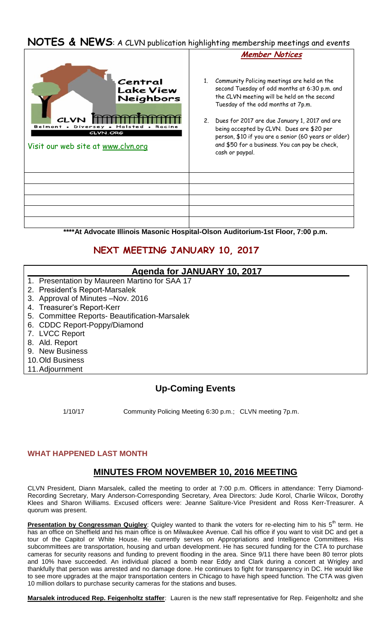# **NOTES & NEWS**: A CLVN publication highlighting membership meetings and events



**\*\*\*\*At Advocate Illinois Masonic Hospital-Olson Auditorium-1st Floor, 7:00 p.m.**

# **NEXT MEETING JANUARY 10, 2017**

## **Agenda for JANUARY 10, 2017**

- 1. Presentation by Maureen Martino for SAA 17
- 2. President's Report-Marsalek
- 3. Approval of Minutes –Nov. 2016
- 4. Treasurer's Report-Kerr
- 5. Committee Reports- Beautification-Marsalek
- 6. CDDC Report-Poppy/Diamond
- 7. LVCC Report
- 8. Ald. Report
- 9. New Business
- 10.Old Business
- 11.Adjournment

## **Up-Coming Events**

1/10/17 Community Policing Meeting 6:30 p.m.; CLVN meeting 7p.m.

### **WHAT HAPPENED LAST MONTH**

## **MINUTES FROM NOVEMBER 10, 2016 MEETING**

CLVN President, Diann Marsalek, called the meeting to order at 7:00 p.m. Officers in attendance: Terry Diamond-Recording Secretary, Mary Anderson-Corresponding Secretary, Area Directors: Jude Korol, Charlie Wilcox, Dorothy Klees and Sharon Williams. Excused officers were: Jeanne Saliture-Vice President and Ross Kerr-Treasurer. A quorum was present.

**Presentation by Congressman Quigley**: Quigley wanted to thank the voters for re-electing him to his 5<sup>th</sup> term. He has an office on Sheffield and his main office is on Milwaukee Avenue. Call his office if you want to visit DC and get a tour of the Capitol or White House. He currently serves on Appropriations and Intelligence Committees. His subcommittees are transportation, housing and urban development. He has secured funding for the CTA to purchase cameras for security reasons and funding to prevent flooding in the area. Since 9/11 there have been 80 terror plots and 10% have succeeded. An individual placed a bomb near Eddy and Clark during a concert at Wrigley and thankfully that person was arrested and no damage done. He continues to fight for transparency in DC. He would like to see more upgrades at the major transportation centers in Chicago to have high speed function. The CTA was given 10 million dollars to purchase security cameras for the stations and buses.

**Marsalek introduced Rep. Feigenholtz staffer**: Lauren is the new staff representative for Rep. Feigenholtz and she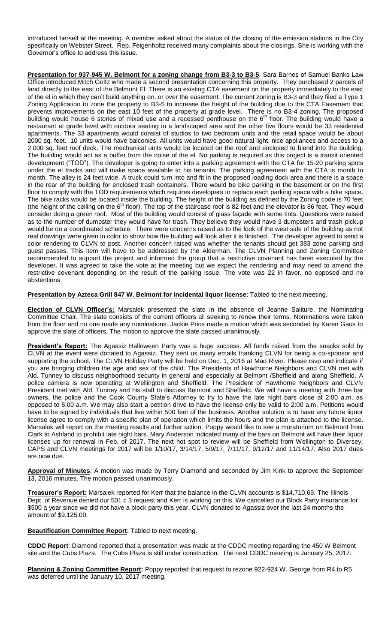introduced herself at the meeting. A member asked about the status of the closing of the emission stations in the City specifically on Webster Street. Rep. Feigenholtz received many complaints about the closings. She is working with the Governor's office to address this issue.

**Presentation for 937-945 W. Belmont for a zoning change from B3-3 to B3-5**: Sara Barnes of Samuel Banks Law Office introduced Mitch Goltz who made a second presentation concerning this property. They purchased 2 parcels of land directly to the east of the Belmont El. There is an existing CTA easement on the property immediately to the east of the el in which they can't build anything on, or over the easement. The current zoning is B3-3 and they filed a Type 1 Zoning Application to zone the property to B3-5 to increase the height of the building due to the CTA Easement that prevents improvements on the east 10 feet of the property at grade level. There is no B3-4 zoning. The proposed building would house 6 stories of mixed use and a recessed penthouse on the  $6<sup>th</sup>$  floor. The building would have a restaurant at grade level with outdoor seating in a landscaped area and the other five floors would be 33 residential apartments. The 33 apartments would consist of studios to two bedroom units and the retail space would be about 2000 sq. feet. 10 units would have balconies. All units would have good natural light, nice appliances and access to a 2,000 sq. feet roof deck. The mechanical units would be located on the roof and enclosed to blend into the building. The building would act as a buffer from the noise of the el. No parking is required as this project is a transit oriented development ("TOD"). The developer is going to enter into a parking agreement with the CTA for 15-20 parking spots under the el tracks and will make space available to his tenants. The parking agreement with the CTA is month to month. The alley is 24 feet wide. A truck could turn into and fit in the proposed loading dock area and there is a space in the rear of the building for enclosed trash containers. There would be bike parking in the basement or on the first floor to comply with the TOD requirements which requires developers to replace each parking space with a bike space. The bike racks would be located inside the building. The height of the building as defined by the Zoning code is 70 feet (the height of the ceiling on the  $6<sup>th</sup>$  floor). The top of the staircase roof is 82 feet and the elevator is 86 feet. They would consider doing a green roof. Most of the building would consist of glass façade with some tints. Questions were raised as to the number of dumpster they would have for trash. They believe they would have 3 dumpsters and trash pickup would be on a coordinated schedule. There were concerns raised as to the look of the west side of the building as not real drawings were given in color to show how the building will look after it is finished. The developer agreed to send a color rendering to CLVN to post. Another concern raised was whether the tenants should get 383 zone parking and guest passes. This item will have to be addressed by the Alderman. The CLVN Planning and Zoning Committee recommended to support the project and informed the group that a restrictive covenant has been executed by the developer. It was agreed to take the vote at the meeting but we expect the rendering and may need to amend the restrictive covenant depending on the result of the parking issue. The vote was 22 in favor, no opposed and no abstentions.

#### **Presentation by Azteca Grill 847 W. Belmont for incidental liquor license**: Tabled to the next meeting.

**Election of CLVN Officer's:** Marsalek presented the slate in the absence of Jeanne Saliture, the Nominating Committee Chair. The slate consists of the current officers all seeking to renew their terms. Nominations were taken from the floor and no one made any nominations. Jackie Price made a motion which was seconded by Karen Gaus to approve the slate of officers. The motion to approve the slate passed unanimously.

**President's Report:** The Agassiz Halloween Party was a huge success. All funds raised from the snacks sold by CLVN at the event were donated to Agassiz. They sent us many emails thanking CLVN for being a co-sponsor and supporting the school. The CLVN Holiday Party will be held on Dec. 1, 2016 at Mad River. Please rsvp and indicate if you are bringing children the age and sex of the child. The Presidents of Hawthorne Neighbors and CLVN met with Ald. Tunney to discuss neighborhood security in general and especially at Belmont /Sheffield and along Sheffield. A police camera is now operating at Wellington and Sheffield. The President of Hawthorne Neighbors and CLVN President met with Ald. Tunney and his staff to discuss Belmont and Sheffield. We will have a meeting with three bar owners, the police and the Cook County State's Attorney to try to have the late night bars close at 2:00 a.m. as opposed to 5:00 a.m. We may also start a petition drive to have the license only be valid to 2:00 a.m. Petitions would have to be signed by individuals that live within 500 feet of the business. Another solution is to have any future liquor license agree to comply with a specific plan of operation which limits the hours and the plan is attached to the license. Marsalek will report on the meeting results and further action. Poppy would like to see a moratorium on Belmont from Clark to Ashland to prohibit late night bars. Mary Anderson indicated many of the bars on Belmont will have their liquor licenses up for renewal in Feb. of 2017. The next hot spot to review will be Sheffield from Wellington to Diversey. CAPS and CLVN meetings for 2017 will be 1/10/17, 3/14/17, 5/9/17, 7/11/17, 9/12/17 and 11/14/17. Also 2017 dues are now due.

**Approval of Minutes**: A motion was made by Terry Diamond and seconded by Jim Kink to approve the September 13, 2016 minutes. The motion passed unanimously.

**Treasurer's Report:** Marsalek reported for Kerr that the balance in the CLVN accounts is \$14,710.69. The Illinois Dept. of Revenue denied our 501 c 3 request and Kerr is working on this. We cancelled our Block Party insurance for \$500 a year since we did not have a block party this year. CLVN donated to Agassiz over the last 24 months the amount of \$9,125.00.

**Beautification Committee Report**: Tabled to next meeting.

**CDDC Report**: Diamond reported that a presentation was made at the CDDC meeting regarding the 450 W Belmont site and the Cubs Plaza. The Cubs Plaza is still under construction. The next CDDC meeting is January 25, 2017.

**Planning & Zoning Committee Report:** Poppy reported that request to rezone 922-924 W. George from R4 to R5 was deferred until the January 10, 2017 meeting.